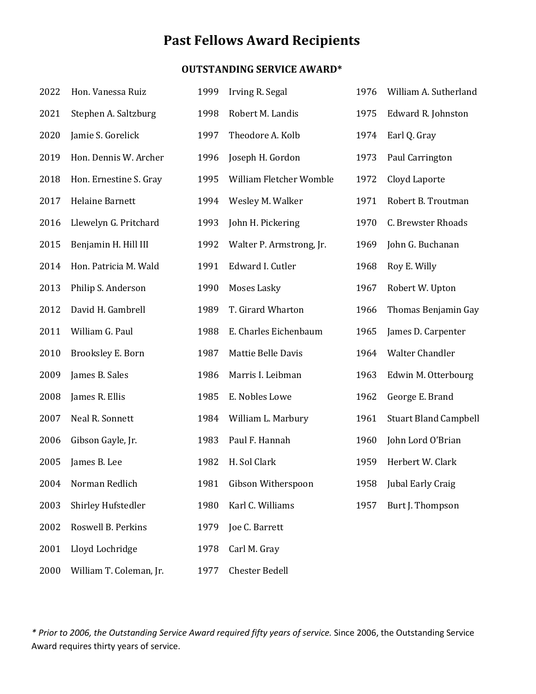# **Past Fellows Award Recipients**

## **OUTSTANDING SERVICE AWARD\***

| 2022 | Hon. Vanessa Ruiz       | 1999 | Irving R. Segal          | 1976 | William A. Sutherland        |
|------|-------------------------|------|--------------------------|------|------------------------------|
| 2021 | Stephen A. Saltzburg    | 1998 | Robert M. Landis         | 1975 | Edward R. Johnston           |
| 2020 | Jamie S. Gorelick       | 1997 | Theodore A. Kolb         | 1974 | Earl Q. Gray                 |
| 2019 | Hon. Dennis W. Archer   | 1996 | Joseph H. Gordon         | 1973 | Paul Carrington              |
| 2018 | Hon. Ernestine S. Gray  | 1995 | William Fletcher Womble  | 1972 | Cloyd Laporte                |
| 2017 | Helaine Barnett         | 1994 | Wesley M. Walker         | 1971 | Robert B. Troutman           |
| 2016 | Llewelyn G. Pritchard   | 1993 | John H. Pickering        | 1970 | C. Brewster Rhoads           |
| 2015 | Benjamin H. Hill III    | 1992 | Walter P. Armstrong, Jr. | 1969 | John G. Buchanan             |
| 2014 | Hon. Patricia M. Wald   | 1991 | Edward I. Cutler         | 1968 | Roy E. Willy                 |
| 2013 | Philip S. Anderson      | 1990 | Moses Lasky              | 1967 | Robert W. Upton              |
| 2012 | David H. Gambrell       | 1989 | T. Girard Wharton        | 1966 | Thomas Benjamin Gay          |
| 2011 | William G. Paul         | 1988 | E. Charles Eichenbaum    | 1965 | James D. Carpenter           |
| 2010 | Brooksley E. Born       | 1987 | Mattie Belle Davis       | 1964 | <b>Walter Chandler</b>       |
| 2009 | James B. Sales          | 1986 | Marris I. Leibman        | 1963 | Edwin M. Otterbourg          |
| 2008 | James R. Ellis          | 1985 | E. Nobles Lowe           | 1962 | George E. Brand              |
| 2007 | Neal R. Sonnett         | 1984 | William L. Marbury       | 1961 | <b>Stuart Bland Campbell</b> |
| 2006 | Gibson Gayle, Jr.       | 1983 | Paul F. Hannah           | 1960 | John Lord O'Brian            |
| 2005 | James B. Lee            | 1982 | H. Sol Clark             | 1959 | Herbert W. Clark             |
| 2004 | Norman Redlich          | 1981 | Gibson Witherspoon       | 1958 | <b>Jubal Early Craig</b>     |
| 2003 | Shirley Hufstedler      | 1980 | Karl C. Williams         | 1957 | Burt J. Thompson             |
| 2002 | Roswell B. Perkins      | 1979 | Joe C. Barrett           |      |                              |
| 2001 | Lloyd Lochridge         | 1978 | Carl M. Gray             |      |                              |
| 2000 | William T. Coleman, Jr. | 1977 | <b>Chester Bedell</b>    |      |                              |

*\* Prior to 2006, the Outstanding Service Award required fifty years of service.* Since 2006, the Outstanding Service Award requires thirty years of service.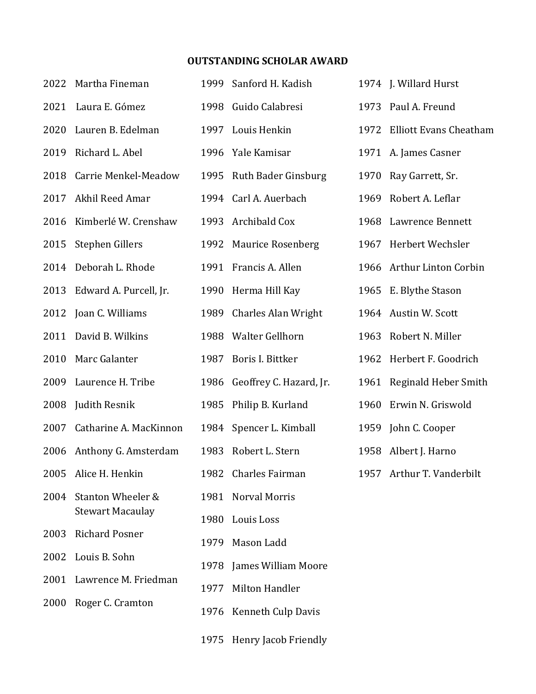## **OUTSTANDING SCHOLAR AWARD**

| 2022 | Martha Fineman                               | 1999 | Sanford H. Kadish          |      | 1974 J. Willard Hurst       |
|------|----------------------------------------------|------|----------------------------|------|-----------------------------|
| 2021 | Laura E. Gómez                               | 1998 | Guido Calabresi            |      | 1973 Paul A. Freund         |
| 2020 | Lauren B. Edelman                            |      | 1997 Louis Henkin          |      | 1972 Elliott Evans Cheatham |
| 2019 | Richard L. Abel                              | 1996 | Yale Kamisar               |      | 1971 A. James Casner        |
| 2018 | Carrie Menkel-Meadow                         | 1995 | <b>Ruth Bader Ginsburg</b> | 1970 | Ray Garrett, Sr.            |
| 2017 | Akhil Reed Amar                              |      | 1994 Carl A. Auerbach      | 1969 | Robert A. Leflar            |
|      | 2016 Kimberlé W. Crenshaw                    |      | 1993 Archibald Cox         |      | 1968 Lawrence Bennett       |
| 2015 | Stephen Gillers                              |      | 1992 Maurice Rosenberg     |      | 1967 Herbert Wechsler       |
| 2014 | Deborah L. Rhode                             |      | 1991 Francis A. Allen      |      | 1966 Arthur Linton Corbin   |
| 2013 | Edward A. Purcell, Jr.                       | 1990 | Herma Hill Kay             |      | 1965 E. Blythe Stason       |
| 2012 | Joan C. Williams                             | 1989 | <b>Charles Alan Wright</b> |      | 1964 Austin W. Scott        |
| 2011 | David B. Wilkins                             | 1988 | Walter Gellhorn            |      | 1963 Robert N. Miller       |
| 2010 | Marc Galanter                                | 1987 | Boris I. Bittker           |      | 1962 Herbert F. Goodrich    |
| 2009 | Laurence H. Tribe                            | 1986 | Geoffrey C. Hazard, Jr.    |      | 1961 Reginald Heber Smith   |
|      | 2008 Judith Resnik                           | 1985 | Philip B. Kurland          | 1960 | Erwin N. Griswold           |
| 2007 | Catharine A. MacKinnon                       |      | 1984 Spencer L. Kimball    |      | 1959 John C. Cooper         |
|      | 2006 Anthony G. Amsterdam                    |      | 1983 Robert L. Stern       |      | 1958 Albert J. Harno        |
|      | 2005 Alice H. Henkin                         | 1982 | Charles Fairman            |      | 1957 Arthur T. Vanderbilt   |
| 2004 | Stanton Wheeler &<br><b>Stewart Macaulay</b> | 1981 | <b>Norval Morris</b>       |      |                             |
|      |                                              | 1980 | Louis Loss                 |      |                             |
| 2003 | <b>Richard Posner</b>                        | 1979 | Mason Ladd                 |      |                             |
| 2002 | Louis B. Sohn                                | 1978 | James William Moore        |      |                             |
| 2001 | Lawrence M. Friedman                         | 1977 | Milton Handler             |      |                             |
|      | 2000 Roger C. Cramton                        | 1976 | <b>Kenneth Culp Davis</b>  |      |                             |
|      |                                              |      |                            |      |                             |

Henry Jacob Friendly